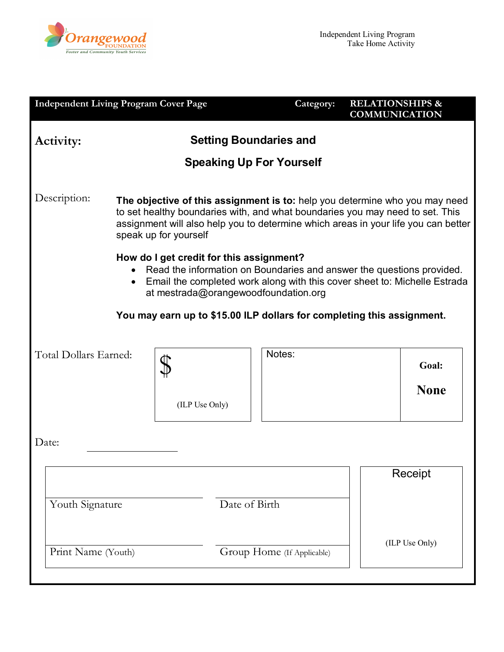

| <b>Independent Living Program Cover Page</b>                           |                                                                                                                                                                                                                                                                             |                                                                                  | Category:                       | <b>RELATIONSHIPS &amp;</b><br><b>COMMUNICATION</b>                                                                                                     |  |
|------------------------------------------------------------------------|-----------------------------------------------------------------------------------------------------------------------------------------------------------------------------------------------------------------------------------------------------------------------------|----------------------------------------------------------------------------------|---------------------------------|--------------------------------------------------------------------------------------------------------------------------------------------------------|--|
| <b>Setting Boundaries and</b><br><b>Activity:</b>                      |                                                                                                                                                                                                                                                                             |                                                                                  |                                 |                                                                                                                                                        |  |
|                                                                        |                                                                                                                                                                                                                                                                             |                                                                                  | <b>Speaking Up For Yourself</b> |                                                                                                                                                        |  |
| Description:                                                           | The objective of this assignment is to: help you determine who you may need<br>to set healthy boundaries with, and what boundaries you may need to set. This<br>assignment will also help you to determine which areas in your life you can better<br>speak up for yourself |                                                                                  |                                 |                                                                                                                                                        |  |
|                                                                        |                                                                                                                                                                                                                                                                             | How do I get credit for this assignment?<br>at mestrada@orangewoodfoundation.org |                                 | • Read the information on Boundaries and answer the questions provided.<br>• Email the completed work along with this cover sheet to: Michelle Estrada |  |
| You may earn up to \$15.00 ILP dollars for completing this assignment. |                                                                                                                                                                                                                                                                             |                                                                                  |                                 |                                                                                                                                                        |  |
| Total Dollars Earned:                                                  |                                                                                                                                                                                                                                                                             |                                                                                  | Notes:                          | Goal:                                                                                                                                                  |  |
|                                                                        |                                                                                                                                                                                                                                                                             | (ILP Use Only)                                                                   |                                 | <b>None</b>                                                                                                                                            |  |
| Date:                                                                  |                                                                                                                                                                                                                                                                             |                                                                                  |                                 |                                                                                                                                                        |  |
|                                                                        |                                                                                                                                                                                                                                                                             |                                                                                  |                                 | Receipt                                                                                                                                                |  |
| Date of Birth<br>Youth Signature                                       |                                                                                                                                                                                                                                                                             |                                                                                  |                                 |                                                                                                                                                        |  |
| Print Name (Youth)                                                     |                                                                                                                                                                                                                                                                             | Group Home (If Applicable)                                                       | (ILP Use Only)                  |                                                                                                                                                        |  |
|                                                                        |                                                                                                                                                                                                                                                                             |                                                                                  |                                 |                                                                                                                                                        |  |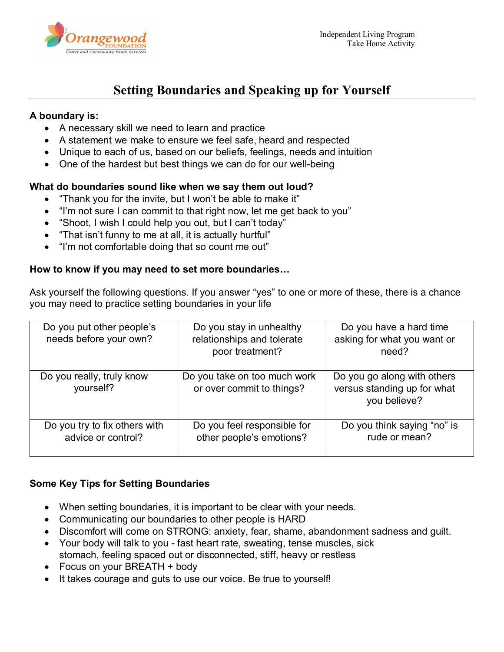

# **Setting Boundaries and Speaking up for Yourself**

### **A boundary is:**

- A necessary skill we need to learn and practice
- A statement we make to ensure we feel safe, heard and respected
- Unique to each of us, based on our beliefs, feelings, needs and intuition
- One of the hardest but best things we can do for our well-being

## **What do boundaries sound like when we say them out loud?**

- "Thank you for the invite, but I won't be able to make it"
- "I'm not sure I can commit to that right now, let me get back to you"
- "Shoot, I wish I could help you out, but I can't today"
- "That isn't funny to me at all, it is actually hurtful"
- "I'm not comfortable doing that so count me out"

#### **How to know if you may need to set more boundaries…**

Ask yourself the following questions. If you answer "yes" to one or more of these, there is a chance you may need to practice setting boundaries in your life

| Do you put other people's<br>needs before your own? | Do you stay in unhealthy<br>relationships and tolerate<br>poor treatment? | Do you have a hard time<br>asking for what you want or<br>need?            |
|-----------------------------------------------------|---------------------------------------------------------------------------|----------------------------------------------------------------------------|
| Do you really, truly know<br>yourself?              | Do you take on too much work<br>or over commit to things?                 | Do you go along with others<br>versus standing up for what<br>you believe? |
| Do you try to fix others with<br>advice or control? | Do you feel responsible for<br>other people's emotions?                   | Do you think saying "no" is<br>rude or mean?                               |

# **Some Key Tips for Setting Boundaries**

- When setting boundaries, it is important to be clear with your needs.
- Communicating our boundaries to other people is HARD
- Discomfort will come on STRONG: anxiety, fear, shame, abandonment sadness and guilt.
- Your body will talk to you fast heart rate, sweating, tense muscles, sick stomach, feeling spaced out or disconnected, stiff, heavy or restless
- Focus on your BREATH + body
- It takes courage and guts to use our voice. Be true to yourself!